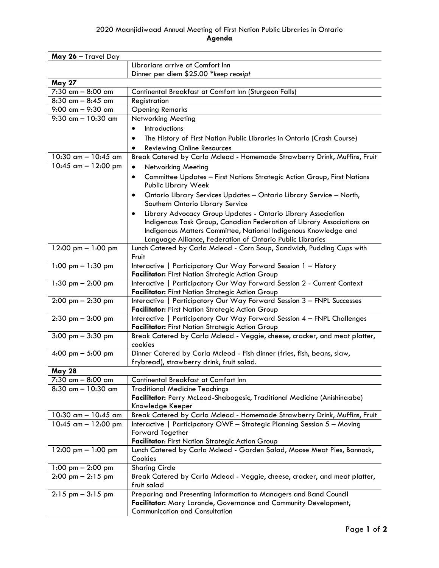## 2020 Maanjidiwaad Annual Meeting of First Nation Public Libraries in Ontario **Agenda**

| May 26 - Travel Day                  |                                                                                                                            |
|--------------------------------------|----------------------------------------------------------------------------------------------------------------------------|
|                                      | Librarians arrive at Comfort Inn                                                                                           |
|                                      | Dinner per diem \$25.00 *keep receipt                                                                                      |
| <b>May 27</b>                        |                                                                                                                            |
| 7:30 am - 8:00 am                    | Continental Breakfast at Comfort Inn (Sturgeon Falls)                                                                      |
| $8:30$ am $- 8:45$ am                | Registration                                                                                                               |
| 9:00 am - 9:30 am                    | <b>Opening Remarks</b>                                                                                                     |
| $9:30$ am $- 10:30$ am               | Networking Meeting                                                                                                         |
|                                      | <b>Introductions</b>                                                                                                       |
|                                      | The History of First Nation Public Libraries in Ontario (Crash Course)<br>٠                                                |
|                                      | <b>Reviewing Online Resources</b>                                                                                          |
| 10:30 $\text{cm} - 10:45 \text{ cm}$ | Break Catered by Carla Mcleod - Homemade Strawberry Drink, Muffins, Fruit                                                  |
| 10:45 $\text{cm} - 12:00 \text{ pm}$ | <b>Networking Meeting</b><br>$\bullet$                                                                                     |
|                                      | Committee Updates - First Nations Strategic Action Group, First Nations<br>Public Library Week                             |
|                                      | Ontario Library Services Updates - Ontario Library Service - North,<br>٠                                                   |
|                                      | Southern Ontario Library Service                                                                                           |
|                                      | Library Advocacy Group Updates - Ontario Library Association<br>٠                                                          |
|                                      | Indigenous Task Group, Canadian Federation of Library Associations on                                                      |
|                                      | Indigenous Matters Committee, National Indigenous Knowledge and                                                            |
|                                      | Language Alliance, Federation of Ontario Public Libraries                                                                  |
| 12:00 pm $- 1:00$ pm                 | Lunch Catered by Carla Mcleod - Corn Soup, Sandwich, Pudding Cups with                                                     |
|                                      | Fruit                                                                                                                      |
| 1:00 pm $- 1:30$ pm                  | Interactive   Participatory Our Way Forward Session 1 - History                                                            |
|                                      | Facilitator: First Nation Strategic Action Group                                                                           |
| 1:30 pm $-$ 2:00 pm                  | Interactive   Participatory Our Way Forward Session 2 - Current Context                                                    |
| $2:00 \text{ pm} - 2:30 \text{ pm}$  | Facilitator: First Nation Strategic Action Group<br>Interactive   Participatory Our Way Forward Session 3 - FNPL Successes |
|                                      | Facilitator: First Nation Strategic Action Group                                                                           |
| $2:30$ pm $-3:00$ pm                 | Interactive   Participatory Our Way Forward Session 4 - FNPL Challenges                                                    |
|                                      | Facilitator: First Nation Strategic Action Group                                                                           |
| $3:00 \text{ pm} - 3:30 \text{ pm}$  | Break Catered by Carla Mcleod - Veggie, cheese, cracker, and meat platter,                                                 |
|                                      | cookies                                                                                                                    |
| 4:00 pm $-$ 5:00 pm                  | Dinner Catered by Carla Mcleod - Fish dinner (fries, fish, beans, slaw,                                                    |
|                                      | frybread), strawberry drink, fruit salad.                                                                                  |
| <b>May 28</b>                        |                                                                                                                            |
| $7:30$ am $- 8:00$ am                | Continental Breakfast at Comfort Inn                                                                                       |
| $8:30$ am $- 10:30$ am               | <b>Traditional Medicine Teachings</b>                                                                                      |
|                                      | Facilitator: Perry McLeod-Shabogesic, Traditional Medicine (Anishinaabe)                                                   |
|                                      | Knowledge Keeper                                                                                                           |
| 10:30 am - 10:45 am                  | Break Catered by Carla Mcleod - Homemade Strawberry Drink, Muffins, Fruit                                                  |
| 10:45 $\text{cm} - 12:00 \text{ pm}$ | Interactive   Participatory OWF - Strategic Planning Session 5 - Moving                                                    |
|                                      | <b>Forward Together</b>                                                                                                    |
|                                      | Facilitator: First Nation Strategic Action Group                                                                           |
| 12:00 pm $- 1:00$ pm                 | Lunch Catered by Carla Mcleod - Garden Salad, Moose Meat Pies, Bannock,<br>Cookies                                         |
| 1:00 pm $-$ 2:00 pm                  | <b>Sharing Circle</b>                                                                                                      |
| $2:00 \text{ pm} - 2:15 \text{ pm}$  | Break Catered by Carla Mcleod - Veggie, cheese, cracker, and meat platter,                                                 |
|                                      | fruit salad                                                                                                                |
| $2:15$ pm $-3:15$ pm                 | Preparing and Presenting Information to Managers and Band Council                                                          |
|                                      | Facilitator: Mary Laronde, Governance and Community Development,                                                           |
|                                      | <b>Communication and Consultation</b>                                                                                      |